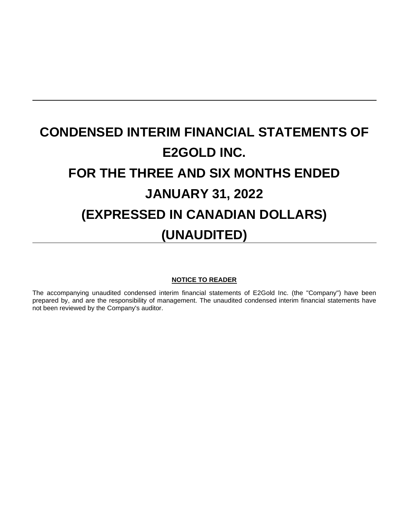# **CONDENSED INTERIM FINANCIAL STATEMENTS OF E2GOLD INC. FOR THE THREE AND SIX MONTHS ENDED JANUARY 31, 2022 (EXPRESSED IN CANADIAN DOLLARS) (UNAUDITED)**

# **NOTICE TO READER**

The accompanying unaudited condensed interim financial statements of E2Gold Inc. (the "Company") have been prepared by, and are the responsibility of management. The unaudited condensed interim financial statements have not been reviewed by the Company's auditor.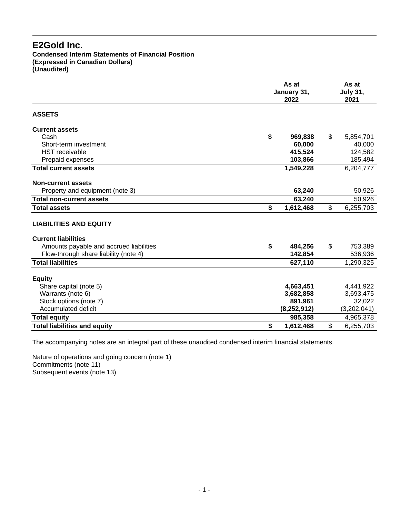**Condensed Interim Statements of Financial Position (Expressed in Canadian Dollars) (Unaudited)**

|                                         | As at<br>January 31,<br>2022 | As at<br><b>July 31,</b><br>2021 |
|-----------------------------------------|------------------------------|----------------------------------|
| <b>ASSETS</b>                           |                              |                                  |
| <b>Current assets</b>                   |                              |                                  |
| Cash                                    | \$<br>969,838                | \$<br>5,854,701                  |
| Short-term investment                   | 60,000                       | 40,000                           |
| <b>HST</b> receivable                   | 415,524                      | 124,582                          |
| Prepaid expenses                        | 103,866                      | 185,494                          |
| <b>Total current assets</b>             | 1,549,228                    | 6,204,777                        |
| <b>Non-current assets</b>               |                              |                                  |
| Property and equipment (note 3)         | 63,240                       | 50,926                           |
| <b>Total non-current assets</b>         | 63,240                       | 50,926                           |
| <b>Total assets</b>                     | \$<br>1,612,468              | \$<br>6,255,703                  |
| <b>LIABILITIES AND EQUITY</b>           |                              |                                  |
| <b>Current liabilities</b>              |                              |                                  |
| Amounts payable and accrued liabilities | \$<br>484,256                | \$<br>753,389                    |
| Flow-through share liability (note 4)   | 142,854                      | 536,936                          |
| <b>Total liabilities</b>                | 627,110                      | 1,290,325                        |
|                                         |                              |                                  |
| <b>Equity</b>                           |                              |                                  |
| Share capital (note 5)                  | 4,663,451                    | 4,441,922                        |
| Warrants (note 6)                       | 3,682,858                    | 3,693,475                        |
| Stock options (note 7)                  | 891,961                      | 32,022                           |
| Accumulated deficit                     | (8, 252, 912)                | (3,202,041)                      |
| <b>Total equity</b>                     | 985,358                      | 4,965,378                        |
| <b>Total liabilities and equity</b>     | \$<br>1,612,468              | \$<br>6,255,703                  |

The accompanying notes are an integral part of these unaudited condensed interim financial statements.

Nature of operations and going concern (note 1) Commitments (note 11) Subsequent events (note 13)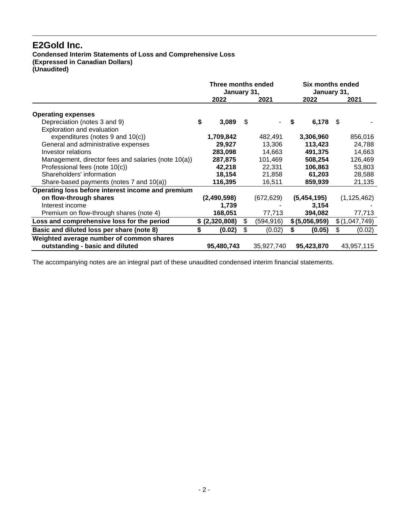# **Condensed Interim Statements of Loss and Comprehensive Loss (Expressed in Canadian Dollars)**

**(Unaudited)**

|                                                     | Three months ended<br>January 31, |                |    |            | Six months ended<br>January 31, |                |    |               |
|-----------------------------------------------------|-----------------------------------|----------------|----|------------|---------------------------------|----------------|----|---------------|
|                                                     |                                   | 2022           |    | 2021       |                                 | 2022           |    | 2021          |
| <b>Operating expenses</b>                           |                                   |                |    |            |                                 |                |    |               |
| Depreciation (notes 3 and 9)                        | \$                                | 3,089          | S  |            | S                               | 6,178 $$$      |    |               |
| Exploration and evaluation                          |                                   |                |    |            |                                 |                |    |               |
| expenditures (notes $9$ and $10(c)$ )               |                                   | 1,709,842      |    | 482,491    |                                 | 3,306,960      |    | 856,016       |
| General and administrative expenses                 |                                   | 29,927         |    | 13,306     |                                 | 113,423        |    | 24,788        |
| Investor relations                                  |                                   | 283,098        |    | 14,663     |                                 | 491,375        |    | 14,663        |
| Management, director fees and salaries (note 10(a)) |                                   | 287,875        |    | 101,469    |                                 | 508,254        |    | 126,469       |
| Professional fees (note 10(c))                      |                                   | 42,218         |    | 22,331     |                                 | 106,863        |    | 53,803        |
| Shareholders' information                           |                                   | 18,154         |    | 21,858     |                                 | 61,203         |    | 28,588        |
| Share-based payments (notes 7 and 10(a))            |                                   | 116,395        |    | 16,511     |                                 | 859,939        |    | 21,135        |
| Operating loss before interest income and premium   |                                   |                |    |            |                                 |                |    |               |
| on flow-through shares                              |                                   | (2,490,598)    |    | (672, 629) |                                 | (5,454,195)    |    | (1, 125, 462) |
| Interest income                                     |                                   | 1,739          |    |            |                                 | 3,154          |    |               |
| Premium on flow-through shares (note 4)             |                                   | 168,051        |    | 77,713     |                                 | 394,082        |    | 77,713        |
| Loss and comprehensive loss for the period          |                                   | \$ (2,320,808) | \$ | (594, 916) |                                 | \$ (5,056,959) |    | \$(1,047,749) |
| Basic and diluted loss per share (note 8)           | S                                 | (0.02)         | \$ | (0.02)     | S                               | (0.05)         | \$ | (0.02)        |
| Weighted average number of common shares            |                                   |                |    |            |                                 |                |    |               |
| outstanding - basic and diluted                     |                                   | 95,480,743     |    | 35,927,740 |                                 | 95,423,870     |    | 43,957,115    |

The accompanying notes are an integral part of these unaudited condensed interim financial statements.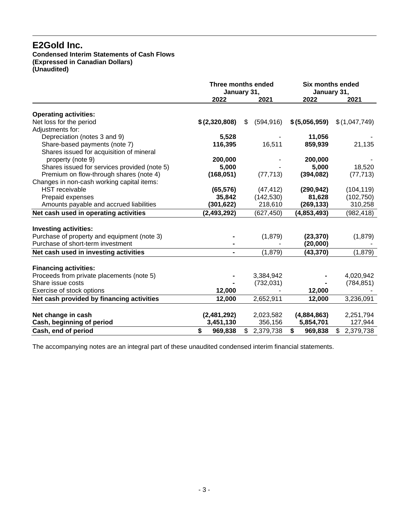#### **Condensed Interim Statements of Cash Flows (Expressed in Canadian Dollars) (Unaudited)**

**Three months ended Six months ended January 31, January 31, 2022 2021 2022 2021 Operating activities:** Net loss for the period **\$ (2,320,808)** \$ (594,916) **\$ (5,056,959)** \$ (1,047,749) Adjustments for: Depreciation (notes 3 and 9) **5,528** - **11,056**<br>
Share-based payments (note 7) **116,395** 16,511 **859,939** Share-based payments (note 7) **116,395** 16,511 **859,939** 21,135 Shares issued for acquisition of mineral property (note 9) **200,000** - **200,000** - Shares issued for services provided (note 5) **5,000** - **5,000** 18,520 Premium on flow-through shares (note 4) **(168,051)** (77,713) **(394,082)** (77,713) Changes in non-cash working capital items: HST receivable **(65,576)** (47,412) **(290,942)** (104,119) Prepaid expenses **35,842**<br>Amounts payable and accrued liabilities **81,622) 81,622** Amounts payable and accrued liabilities **(301,622)** 218,610 **(269,133)** 310,258 **Net cash used in operating activities (2,493,292)** (627,450) **(4,853,493)** (982,418) **Investing activities:** Purchase of property and equipment (note 3) **-** (1,879) **(23,370)** (1,879) Purchase of short-term investment **and the set of short-term** investment **and the set of structure (20,000)**  $\cdot$  **(20,000) Net cash used in investing activities -** (1,879) **(43,370)** (1,879) **Financing activities:** Proceeds from private placements (note 5) **-** 3,384,942 **-** 4,020,942 Share issue costs **-** (732,031) **-** (732,031) **-** (732,031) **-** (*732,031*) **-** (*732,031*) **-** (*1*2,000 **-** (*12,000* - (*12,000* - (*12,000* - (*12,000* - (*12,000* - (*12,000* - (*12,000* - (*12,000* - (*12,000* - (*12* **Exercise of stock options Net cash provided by financing activities 12,000** 2,652,911 **12,000** 3,236,091 **Net change in cash (2,481,292)** 2,023,582 **(4,884,863)** 2,251,794 **Cash, beginning of period Cash, end of period \$ 969,838** \$ 2,379,738 **\$ 969,838** \$ 2,379,738

The accompanying notes are an integral part of these unaudited condensed interim financial statements.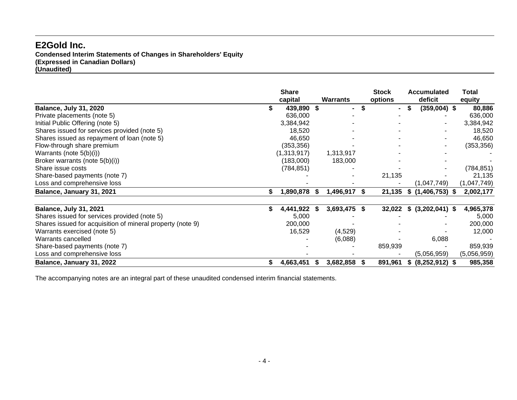**Condensed Interim Statements of Changes in Shareholders' Equity (Expressed in Canadian Dollars) (Unaudited)**

|                                                            |    | <b>Share</b><br>capital |   | Warrants     |      | <b>Stock</b><br>options |    |                   |             |  |  | <b>Accumulated</b><br>deficit | Total<br>equity |
|------------------------------------------------------------|----|-------------------------|---|--------------|------|-------------------------|----|-------------------|-------------|--|--|-------------------------------|-----------------|
| <b>Balance, July 31, 2020</b>                              |    | 439,890 \$              |   | $\sim$       | S    | $\sim$                  | S  | $(359,004)$ \$    | 80,886      |  |  |                               |                 |
| Private placements (note 5)                                |    | 636,000                 |   |              |      |                         |    |                   | 636,000     |  |  |                               |                 |
| Initial Public Offering (note 5)                           |    | 3,384,942               |   |              |      |                         |    |                   | 3,384,942   |  |  |                               |                 |
| Shares issued for services provided (note 5)               |    | 18,520                  |   |              |      |                         |    |                   | 18,520      |  |  |                               |                 |
| Shares issued as repayment of loan (note 5)                |    | 46,650                  |   |              |      |                         |    |                   | 46,650      |  |  |                               |                 |
| Flow-through share premium                                 |    | (353, 356)              |   |              |      |                         |    |                   | (353, 356)  |  |  |                               |                 |
| Warrants (note $5(b)(i)$ )                                 |    | (1,313,917)             |   | 1,313,917    |      |                         |    |                   |             |  |  |                               |                 |
| Broker warrants (note 5(b)(i))                             |    | (183,000)               |   | 183,000      |      |                         |    |                   |             |  |  |                               |                 |
| Share issue costs                                          |    | (784, 851)              |   |              |      |                         |    |                   | (784, 851)  |  |  |                               |                 |
| Share-based payments (note 7)                              |    |                         |   |              |      | 21,135                  |    |                   | 21,135      |  |  |                               |                 |
| Loss and comprehensive loss                                |    |                         |   |              |      |                         |    | (1,047,749)       | (1,047,749) |  |  |                               |                 |
| Balance, January 31, 2021                                  | \$ | 1,890,878               | ъ | 1,496,917    | - 56 | 21,135                  | S  | (1, 406, 753)     | 2,002,177   |  |  |                               |                 |
| <b>Balance, July 31, 2021</b>                              | S. | 4,441,922               |   | 3,693,475 \$ |      | 32,022                  |    | \$ (3,202,041) \$ | 4,965,378   |  |  |                               |                 |
| Shares issued for services provided (note 5)               |    | 5,000                   |   |              |      |                         |    |                   | 5,000       |  |  |                               |                 |
| Shares issued for acquisition of mineral property (note 9) |    | 200,000                 |   |              |      |                         |    |                   | 200,000     |  |  |                               |                 |
| Warrants exercised (note 5)                                |    | 16,529                  |   | (4,529)      |      |                         |    |                   | 12,000      |  |  |                               |                 |
| Warrants cancelled                                         |    |                         |   | (6,088)      |      |                         |    | 6,088             |             |  |  |                               |                 |
| Share-based payments (note 7)                              |    |                         |   |              |      | 859,939                 |    |                   | 859,939     |  |  |                               |                 |
| Loss and comprehensive loss                                |    |                         |   |              |      |                         |    | (5,056,959)       | (5,056,959) |  |  |                               |                 |
| Balance, January 31, 2022                                  | \$ | 4,663,451               |   | 3,682,858    | - 5  | 891,961                 | \$ | $(8,252,912)$ \$  | 985,358     |  |  |                               |                 |

The accompanying notes are an integral part of these unaudited condensed interim financial statements.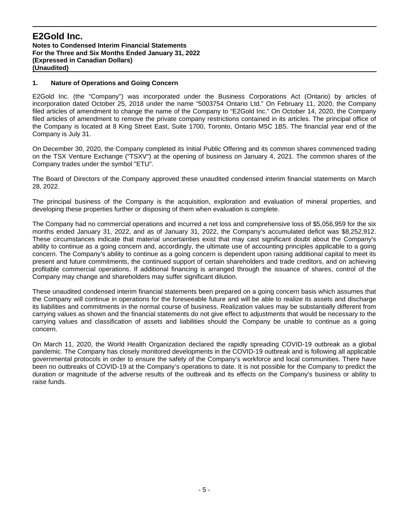#### **1. Nature of Operations and Going Concern**

E2Gold Inc. (the "Company") was incorporated under the Business Corporations Act (Ontario) by articles of incorporation dated October 25, 2018 under the name "5003754 Ontario Ltd." On February 11, 2020, the Company filed articles of amendment to change the name of the Company to "E2Gold Inc." On October 14, 2020, the Company filed articles of amendment to remove the private company restrictions contained in its articles. The principal office of the Company is located at 8 King Street East, Suite 1700, Toronto, Ontario M5C 1B5. The financial year end of the Company is July 31.

On December 30, 2020, the Company completed its Initial Public Offering and its common shares commenced trading on the TSX Venture Exchange ("TSXV") at the opening of business on January 4, 2021. The common shares of the Company trades under the symbol "ETU".

The Board of Directors of the Company approved these unaudited condensed interim financial statements on March 28, 2022.

The principal business of the Company is the acquisition, exploration and evaluation of mineral properties, and developing these properties further or disposing of them when evaluation is complete.

The Company had no commercial operations and incurred a net loss and comprehensive loss of \$5,056,959 for the six months ended January 31, 2022, and as of January 31, 2022, the Company's accumulated deficit was \$8,252,912. These circumstances indicate that material uncertainties exist that may cast significant doubt about the Company's ability to continue as a going concern and, accordingly, the ultimate use of accounting principles applicable to a going concern. The Company's ability to continue as a going concern is dependent upon raising additional capital to meet its present and future commitments, the continued support of certain shareholders and trade creditors, and on achieving profitable commercial operations. If additional financing is arranged through the issuance of shares, control of the Company may change and shareholders may suffer significant dilution.

These unaudited condensed interim financial statements been prepared on a going concern basis which assumes that the Company will continue in operations for the foreseeable future and will be able to realize its assets and discharge its liabilities and commitments in the normal course of business. Realization values may be substantially different from carrying values as shown and the financial statements do not give effect to adjustments that would be necessary to the carrying values and classification of assets and liabilities should the Company be unable to continue as a going concern.

On March 11, 2020, the World Health Organization declared the rapidly spreading COVID-19 outbreak as a global pandemic. The Company has closely monitored developments in the COVID-19 outbreak and is following all applicable governmental protocols in order to ensure the safety of the Company's workforce and local communities. There have been no outbreaks of COVID-19 at the Company's operations to date. It is not possible for the Company to predict the duration or magnitude of the adverse results of the outbreak and its effects on the Company's business or ability to raise funds.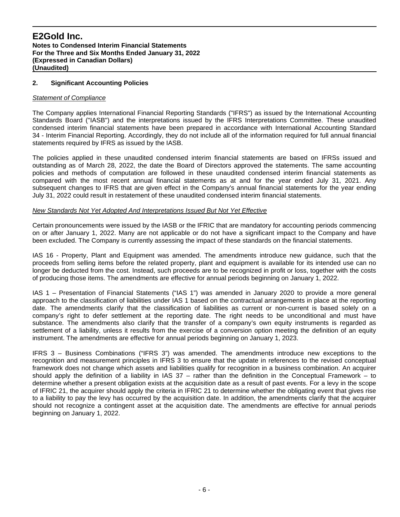#### **2. Significant Accounting Policies**

#### *Statement of Compliance*

The Company applies International Financial Reporting Standards ("IFRS") as issued by the International Accounting Standards Board ("IASB") and the interpretations issued by the IFRS Interpretations Committee. These unaudited condensed interim financial statements have been prepared in accordance with International Accounting Standard 34 - Interim Financial Reporting. Accordingly, they do not include all of the information required for full annual financial statements required by IFRS as issued by the IASB.

The policies applied in these unaudited condensed interim financial statements are based on IFRSs issued and outstanding as of March 28, 2022, the date the Board of Directors approved the statements. The same accounting policies and methods of computation are followed in these unaudited condensed interim financial statements as compared with the most recent annual financial statements as at and for the year ended July 31, 2021. Any subsequent changes to IFRS that are given effect in the Company's annual financial statements for the year ending July 31, 2022 could result in restatement of these unaudited condensed interim financial statements.

#### *New Standards Not Yet Adopted And Interpretations Issued But Not Yet Effective*

Certain pronouncements were issued by the IASB or the IFRIC that are mandatory for accounting periods commencing on or after January 1, 2022. Many are not applicable or do not have a significant impact to the Company and have been excluded. The Company is currently assessing the impact of these standards on the financial statements.

IAS 16 - Property, Plant and Equipment was amended. The amendments introduce new guidance, such that the proceeds from selling items before the related property, plant and equipment is available for its intended use can no longer be deducted from the cost. Instead, such proceeds are to be recognized in profit or loss, together with the costs of producing those items. The amendments are effective for annual periods beginning on January 1, 2022.

IAS 1 – Presentation of Financial Statements ("IAS 1") was amended in January 2020 to provide a more general approach to the classification of liabilities under IAS 1 based on the contractual arrangements in place at the reporting date. The amendments clarify that the classification of liabilities as current or non-current is based solely on a company's right to defer settlement at the reporting date. The right needs to be unconditional and must have substance. The amendments also clarify that the transfer of a company's own equity instruments is regarded as settlement of a liability, unless it results from the exercise of a conversion option meeting the definition of an equity instrument. The amendments are effective for annual periods beginning on January 1, 2023.

IFRS 3 – Business Combinations ("IFRS 3") was amended. The amendments introduce new exceptions to the recognition and measurement principles in IFRS 3 to ensure that the update in references to the revised conceptual framework does not change which assets and liabilities qualify for recognition in a business combination. An acquirer should apply the definition of a liability in IAS 37 – rather than the definition in the Conceptual Framework – to determine whether a present obligation exists at the acquisition date as a result of past events. For a levy in the scope of IFRIC 21, the acquirer should apply the criteria in IFRIC 21 to determine whether the obligating event that gives rise to a liability to pay the levy has occurred by the acquisition date. In addition, the amendments clarify that the acquirer should not recognize a contingent asset at the acquisition date. The amendments are effective for annual periods beginning on January 1, 2022.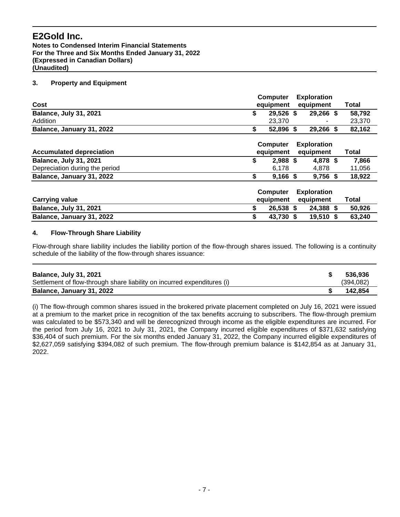**Notes to Condensed Interim Financial Statements For the Three and Six Months Ended January 31, 2022 (Expressed in Canadian Dollars) (Unaudited)**

# **3. Property and Equipment**

|                        | equipment |                             |                                                                                           |  |                                                                                                                        |
|------------------------|-----------|-----------------------------|-------------------------------------------------------------------------------------------|--|------------------------------------------------------------------------------------------------------------------------|
|                        |           |                             | equipment                                                                                 |  | <b>Total</b>                                                                                                           |
|                        |           |                             |                                                                                           |  | 58,792                                                                                                                 |
|                        | 23,370    |                             |                                                                                           |  | 23,370                                                                                                                 |
| \$                     |           |                             |                                                                                           |  | 82,162                                                                                                                 |
|                        |           |                             |                                                                                           |  |                                                                                                                        |
|                        |           | equipment                   |                                                                                           |  | <b>Total</b>                                                                                                           |
| \$                     |           |                             |                                                                                           |  | 7,866                                                                                                                  |
|                        | 6,178     |                             | 4,878                                                                                     |  | 11,056                                                                                                                 |
| \$                     |           |                             |                                                                                           |  | 18,922                                                                                                                 |
|                        |           |                             |                                                                                           |  |                                                                                                                        |
| equipment<br>equipment |           |                             |                                                                                           |  | <b>Total</b>                                                                                                           |
| \$                     |           |                             |                                                                                           |  | 50,926                                                                                                                 |
| \$                     |           |                             |                                                                                           |  | 63,240                                                                                                                 |
|                        | \$        | <b>Computer</b><br>Computer | 29,526 \$<br>52,896 \$<br>equipment<br>$2,988$ \$<br>$9,166$ \$<br>26,538 \$<br>43,730 \$ |  | 29,266 \$<br>29,266 \$<br><b>Exploration</b><br>4,878 \$<br>$9,756$ \$<br><b>Exploration</b><br>24,388 \$<br>19,510 \$ |

## **4. Flow-Through Share Liability**

Flow-through share liability includes the liability portion of the flow-through shares issued. The following is a continuity schedule of the liability of the flow-through shares issuance:

| <b>Balance, July 31, 2021</b><br>Settlement of flow-through share liability on incurred expenditures (i) | 536.936<br>(394,082) |
|----------------------------------------------------------------------------------------------------------|----------------------|
| Balance, January 31, 2022                                                                                | 142.854              |

(i) The flow-through common shares issued in the brokered private placement completed on July 16, 2021 were issued at a premium to the market price in recognition of the tax benefits accruing to subscribers. The flow-through premium was calculated to be \$573,340 and will be derecognized through income as the eligible expenditures are incurred. For the period from July 16, 2021 to July 31, 2021, the Company incurred eligible expenditures of \$371,632 satisfying \$36,404 of such premium. For the six months ended January 31, 2022, the Company incurred eligible expenditures of \$2,627,059 satisfying \$394,082 of such premium. The flow-through premium balance is \$142,854 as at January 31, 2022.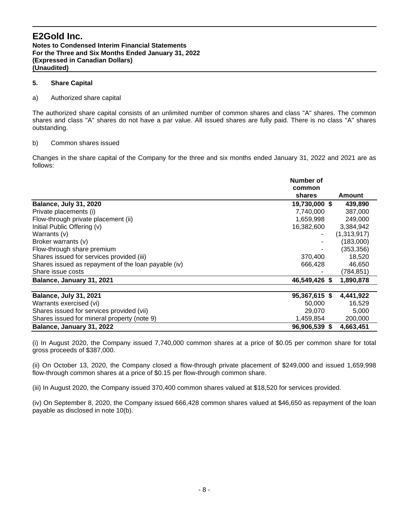**Notes to Condensed Interim Financial Statements For the Three and Six Months Ended January 31, 2022 (Expressed in Canadian Dollars) (Unaudited)**

#### **5. Share Capital**

#### a) Authorized share capital

The authorized share capital consists of an unlimited number of common shares and class "A" shares. The common shares and class "A" shares do not have a par value. All issued shares are fully paid. There is no class "A" shares outstanding.

#### b) Common shares issued

Changes in the share capital of the Company for the three and six months ended January 31, 2022 and 2021 are as follows:

|                                                     | Number of     |             |
|-----------------------------------------------------|---------------|-------------|
|                                                     | common        |             |
|                                                     | shares        | Amount      |
| <b>Balance, July 31, 2020</b>                       | 19,730,000 \$ | 439,890     |
| Private placements (i)                              | 7,740,000     | 387,000     |
| Flow-through private placement (ii)                 | 1,659,998     | 249,000     |
| Initial Public Offering (v)                         | 16,382,600    | 3,384,942   |
| Warrants (v)                                        |               | (1,313,917) |
| Broker warrants (v)                                 |               | (183,000)   |
| Flow-through share premium                          |               | (353, 356)  |
| Shares issued for services provided (iii)           | 370,400       | 18,520      |
| Shares issued as repayment of the loan payable (iv) | 666,428       | 46,650      |
| Share issue costs                                   |               | (784, 851)  |
| Balance, January 31, 2021                           | 46,549,426 \$ | 1,890,878   |
| <b>Balance, July 31, 2021</b>                       | 95,367,615 \$ | 4,441,922   |
| Warrants exercised (vi)                             | 50,000        | 16,529      |
| Shares issued for services provided (vii)           | 29,070        | 5,000       |
| Shares issued for mineral property (note 9)         | 1,459,854     | 200,000     |
| Balance, January 31, 2022                           | 96,906,539 \$ | 4,663,451   |

(i) In August 2020, the Company issued 7,740,000 common shares at a price of \$0.05 per common share for total gross proceeds of \$387,000.

(ii) On October 13, 2020, the Company closed a flow-through private placement of \$249,000 and issued 1,659,998 flow-through common shares at a price of \$0.15 per flow-through common share.

(iii) In August 2020, the Company issued 370,400 common shares valued at \$18,520 for services provided.

(iv) On September 8, 2020, the Company issued 666,428 common shares valued at \$46,650 as repayment of the loan payable as disclosed in note 10(b).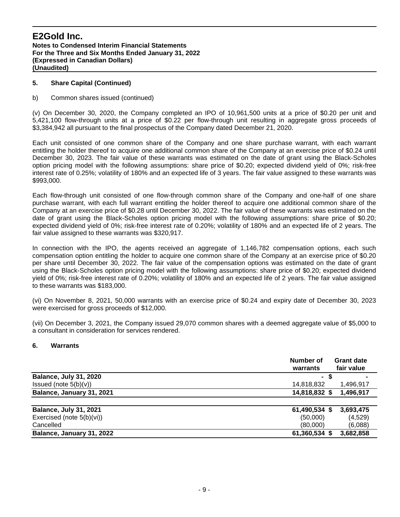#### **5. Share Capital (Continued)**

#### b) Common shares issued (continued)

(v) On December 30, 2020, the Company completed an IPO of 10,961,500 units at a price of \$0.20 per unit and 5,421,100 flow-through units at a price of \$0.22 per flow-through unit resulting in aggregate gross proceeds of \$3,384,942 all pursuant to the final prospectus of the Company dated December 21, 2020.

Each unit consisted of one common share of the Company and one share purchase warrant, with each warrant entitling the holder thereof to acquire one additional common share of the Company at an exercise price of \$0.24 until December 30, 2023. The fair value of these warrants was estimated on the date of grant using the Black-Scholes option pricing model with the following assumptions: share price of \$0.20; expected dividend yield of 0%; risk-free interest rate of 0.25%; volatility of 180% and an expected life of 3 years. The fair value assigned to these warrants was \$993,000.

Each flow-through unit consisted of one flow-through common share of the Company and one-half of one share purchase warrant, with each full warrant entitling the holder thereof to acquire one additional common share of the Company at an exercise price of \$0.28 until December 30, 2022. The fair value of these warrants was estimated on the date of grant using the Black-Scholes option pricing model with the following assumptions: share price of \$0.20; expected dividend yield of 0%; risk-free interest rate of 0.20%; volatility of 180% and an expected life of 2 years. The fair value assigned to these warrants was \$320,917.

In connection with the IPO, the agents received an aggregate of 1,146,782 compensation options, each such compensation option entitling the holder to acquire one common share of the Company at an exercise price of \$0.20 per share until December 30, 2022. The fair value of the compensation options was estimated on the date of grant using the Black-Scholes option pricing model with the following assumptions: share price of \$0.20; expected dividend yield of 0%; risk-free interest rate of 0.20%; volatility of 180% and an expected life of 2 years. The fair value assigned to these warrants was \$183,000.

(vi) On November 8, 2021, 50,000 warrants with an exercise price of \$0.24 and expiry date of December 30, 2023 were exercised for gross proceeds of \$12,000.

(vii) On December 3, 2021, the Company issued 29,070 common shares with a deemed aggregate value of \$5,000 to a consultant in consideration for services rendered.

#### **6. Warrants**

|                               | Number of<br>warrants | <b>Grant date</b><br>fair value |
|-------------------------------|-----------------------|---------------------------------|
| <b>Balance, July 31, 2020</b> | -S<br>$\blacksquare$  |                                 |
| Issued (note $5(b)(v)$ )      | 14,818,832            | 1,496,917                       |
| Balance, January 31, 2021     | 14,818,832 \$         | 1,496,917                       |
| <b>Balance, July 31, 2021</b> | 61,490,534 \$         | 3,693,475                       |
| Exercised (note 5(b)(vi))     | (50,000)              | (4,529)                         |
| Cancelled                     | (80,000)              | (6,088)                         |
| Balance, January 31, 2022     | 61,360,534 \$         | 3,682,858                       |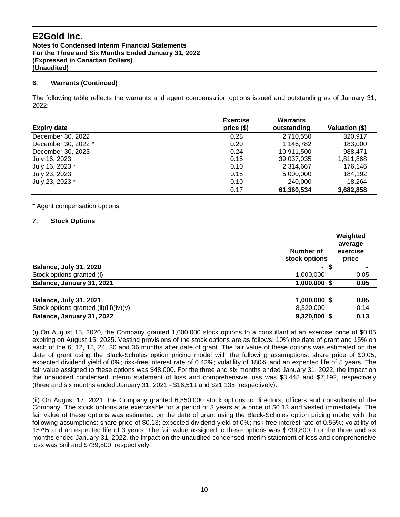**Notes to Condensed Interim Financial Statements For the Three and Six Months Ended January 31, 2022 (Expressed in Canadian Dollars) (Unaudited)**

# **6. Warrants (Continued)**

The following table reflects the warrants and agent compensation options issued and outstanding as of January 31, 2022:

|                     | <b>Exercise</b> | <b>Warrants</b> |                |
|---------------------|-----------------|-----------------|----------------|
| <b>Expiry date</b>  | price(\$)       | outstanding     | Valuation (\$) |
| December 30, 2022   | 0.28            | 2,710,550       | 320,917        |
| December 30, 2022 * | 0.20            | 1,146,782       | 183,000        |
| December 30, 2023   | 0.24            | 10,911,500      | 988,471        |
| July 16, 2023       | 0.15            | 39,037,035      | 1,811,868      |
| July 16, 2023 *     | 0.10            | 2.314.667       | 176.146        |
| July 23, 2023       | 0.15            | 5,000,000       | 184,192        |
| July 23, 2023 *     | 0.10            | 240,000         | 18,264         |
|                     | 0.17            | 61,360,534      | 3,682,858      |

\* Agent compensation options.

## **7. Stock Options**

|                                          | Number of<br>stock options | Weighted<br>average<br>exercise<br>price |
|------------------------------------------|----------------------------|------------------------------------------|
| <b>Balance, July 31, 2020</b>            | - \$                       |                                          |
| Stock options granted (i)                | 1,000,000                  | 0.05                                     |
| Balance, January 31, 2021                | 1,000,000 \$               | 0.05                                     |
| <b>Balance, July 31, 2021</b>            | 1,000,000 \$               | 0.05                                     |
| Stock options granted $(ii)(iii)(iv)(v)$ | 8,320,000                  | 0.14                                     |
| Balance, January 31, 2022                | 9,320,000 \$               | 0.13                                     |

(i) On August 15, 2020, the Company granted 1,000,000 stock options to a consultant at an exercise price of \$0.05 expiring on August 15, 2025. Vesting provisions of the stock options are as follows: 10% the date of grant and 15% on each of the 6, 12, 18, 24, 30 and 36 months after date of grant. The fair value of these options was estimated on the date of grant using the Black-Scholes option pricing model with the following assumptions: share price of \$0.05; expected dividend yield of 0%; risk-free interest rate of 0.42%; volatility of 180% and an expected life of 5 years. The fair value assigned to these options was \$48,000. For the three and six months ended January 31, 2022, the impact on the unaudited condensed interim statement of loss and comprehensive loss was \$3,448 and \$7,192, respectively (three and six months ended January 31, 2021 - \$16,511 and \$21,135, respectively).

(ii) On August 17, 2021, the Company granted 6,850,000 stock options to directors, officers and consultants of the Company. The stock options are exercisable for a period of 3 years at a price of \$0.13 and vested immediately. The fair value of these options was estimated on the date of grant using the Black-Scholes option pricing model with the following assumptions: share price of \$0.13; expected dividend yield of 0%; risk-free interest rate of 0.55%; volatility of 157% and an expected life of 3 years. The fair value assigned to these options was \$739,800. For the three and six months ended January 31, 2022, the impact on the unaudited condensed interim statement of loss and comprehensive loss was \$nil and \$739,800, respectively.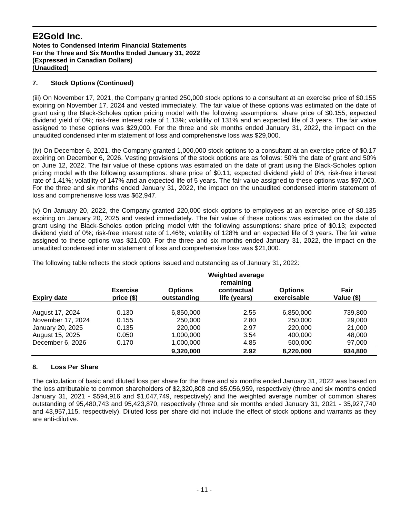## **7. Stock Options (Continued)**

(iii) On November 17, 2021, the Company granted 250,000 stock options to a consultant at an exercise price of \$0.155 expiring on November 17, 2024 and vested immediately. The fair value of these options was estimated on the date of grant using the Black-Scholes option pricing model with the following assumptions: share price of \$0.155; expected dividend yield of 0%; risk-free interest rate of 1.13%; volatility of 131% and an expected life of 3 years. The fair value assigned to these options was \$29,000. For the three and six months ended January 31, 2022, the impact on the unaudited condensed interim statement of loss and comprehensive loss was \$29,000.

(iv) On December 6, 2021, the Company granted 1,000,000 stock options to a consultant at an exercise price of \$0.17 expiring on December 6, 2026. Vesting provisions of the stock options are as follows: 50% the date of grant and 50% on June 12, 2022. The fair value of these options was estimated on the date of grant using the Black-Scholes option pricing model with the following assumptions: share price of \$0.11; expected dividend yield of 0%; risk-free interest rate of 1.41%; volatility of 147% and an expected life of 5 years. The fair value assigned to these options was \$97,000. For the three and six months ended January 31, 2022, the impact on the unaudited condensed interim statement of loss and comprehensive loss was \$62,947.

(v) On January 20, 2022, the Company granted 220,000 stock options to employees at an exercise price of \$0.135 expiring on January 20, 2025 and vested immediately. The fair value of these options was estimated on the date of grant using the Black-Scholes option pricing model with the following assumptions: share price of \$0.13; expected dividend yield of 0%; risk-free interest rate of 1.46%; volatility of 128% and an expected life of 3 years. The fair value assigned to these options was \$21,000. For the three and six months ended January 31, 2022, the impact on the unaudited condensed interim statement of loss and comprehensive loss was \$21,000.

|                    |                               | <b>Weighted average</b><br>remaining |                             |                               |                    |  |  |  |  |
|--------------------|-------------------------------|--------------------------------------|-----------------------------|-------------------------------|--------------------|--|--|--|--|
| <b>Expiry date</b> | <b>Exercise</b><br>price (\$) | <b>Options</b><br>outstanding        | contractual<br>life (years) | <b>Options</b><br>exercisable | Fair<br>Value (\$) |  |  |  |  |
| August 17, 2024    | 0.130                         | 6,850,000                            | 2.55                        | 6,850,000                     | 739,800            |  |  |  |  |
| November 17, 2024  | 0.155                         | 250,000                              | 2.80                        | 250,000                       | 29,000             |  |  |  |  |
| January 20, 2025   | 0.135                         | 220,000                              | 2.97                        | 220,000                       | 21,000             |  |  |  |  |
| August 15, 2025    | 0.050                         | 1,000,000                            | 3.54                        | 400,000                       | 48,000             |  |  |  |  |
| December 6, 2026   | 0.170                         | 1,000,000                            | 4.85                        | 500,000                       | 97,000             |  |  |  |  |
|                    |                               | 9,320,000                            | 2.92                        | 8,220,000                     | 934,800            |  |  |  |  |

The following table reflects the stock options issued and outstanding as of January 31, 2022:

## **8. Loss Per Share**

The calculation of basic and diluted loss per share for the three and six months ended January 31, 2022 was based on the loss attributable to common shareholders of \$2,320,808 and \$5,056,959, respectively (three and six months ended January 31, 2021 - \$594,916 and \$1,047,749, respectively) and the weighted average number of common shares outstanding of 95,480,743 and 95,423,870, respectively (three and six months ended January 31, 2021 - 35,927,740 and 43,957,115, respectively). Diluted loss per share did not include the effect of stock options and warrants as they are anti-dilutive.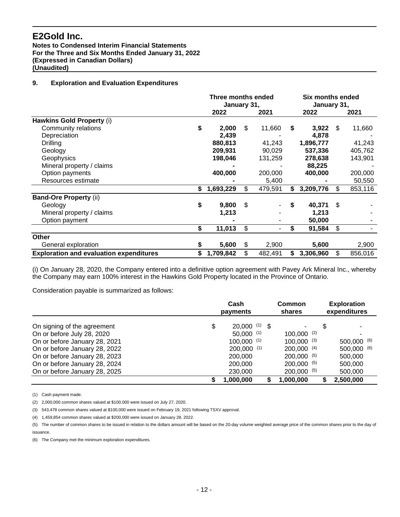**Notes to Condensed Interim Financial Statements For the Three and Six Months Ended January 31, 2022 (Expressed in Canadian Dollars) (Unaudited)**

## **9. Exploration and Evaluation Expenditures**

|                                                |              | Three months ended<br>January 31, |      |         |    |            | Six months ended<br>January 31, |         |  |
|------------------------------------------------|--------------|-----------------------------------|------|---------|----|------------|---------------------------------|---------|--|
|                                                | 2022<br>2021 |                                   | 2022 |         |    | 2021       |                                 |         |  |
| <b>Hawkins Gold Property (i)</b>               |              |                                   |      |         |    |            |                                 |         |  |
| Community relations                            | \$           | 2,000                             | \$   | 11,660  | \$ | $3,922$ \$ |                                 | 11,660  |  |
| Depreciation                                   |              | 2,439                             |      |         |    | 4,878      |                                 |         |  |
| <b>Drilling</b>                                |              | 880,813                           |      | 41,243  |    | 1,896,777  |                                 | 41,243  |  |
| Geology                                        |              | 209,931                           |      | 90,029  |    | 537,336    |                                 | 405,762 |  |
| Geophysics                                     |              | 198,046                           |      | 131,259 |    | 278,638    |                                 | 143,901 |  |
| Mineral property / claims                      |              |                                   |      |         |    | 88,225     |                                 |         |  |
| Option payments                                |              | 400,000                           |      | 200,000 |    | 400,000    |                                 | 200,000 |  |
| Resources estimate                             |              |                                   |      | 5,400   |    |            |                                 | 50,550  |  |
|                                                | \$           | 1,693,229                         | \$   | 479,591 | \$ | 3,209,776  | \$                              | 853,116 |  |
| <b>Band-Ore Property (ii)</b>                  |              |                                   |      |         |    |            |                                 |         |  |
| Geology                                        | \$           | 9,800                             | \$   |         | \$ | 40,371     | \$                              |         |  |
| Mineral property / claims                      |              | 1,213                             |      |         |    | 1,213      |                                 |         |  |
| Option payment                                 |              |                                   |      |         |    | 50,000     |                                 |         |  |
|                                                | \$           | 11,013                            | \$   |         | \$ | 91,584     | \$                              |         |  |
| Other                                          |              |                                   |      |         |    |            |                                 |         |  |
| General exploration                            | \$           | 5,600                             | \$   | 2,900   |    | 5,600      |                                 | 2,900   |  |
| <b>Exploration and evaluation expenditures</b> | \$           | 1,709,842                         | \$   | 482,491 | \$ | 3,306,960  | \$                              | 856,016 |  |

(i) On January 28, 2020, the Company entered into a definitive option agreement with Pavey Ark Mineral Inc., whereby the Company may earn 100% interest in the Hawkins Gold Property located in the Province of Ontario.

Consideration payable is summarized as follows:

|                               | Cash<br>payments                 | Common<br>shares | <b>Exploration</b><br>expenditures |
|-------------------------------|----------------------------------|------------------|------------------------------------|
| On signing of the agreement   | \$<br>$20,000$ <sup>(1)</sup> \$ |                  |                                    |
| On or before July 28, 2020    | $50,000$ (1)                     | $100,000^{(2)}$  |                                    |
| On or before January 28, 2021 | $100,000$ (1)                    | $100,000^{(3)}$  | $500,000$ (6)                      |
| On or before January 28, 2022 | $200,000$ (1)                    | $200,000$ (4)    | $500,000$ (6)                      |
| On or before January 28, 2023 | 200,000                          | $200,000^{(5)}$  | 500,000                            |
| On or before January 28, 2024 | 200,000                          | $200,000$ (5)    | 500,000                            |
| On or before January 28, 2025 | 230,000                          | $200,000$ (5)    | 500,000                            |
|                               | 1,000,000                        | 1,000,000        | 2,500,000                          |

(1) Cash payment made.

(2) 2,000,000 common shares valued at \$100,000 were issued on July 27, 2020.

(3) 543,478 common shares valued at \$100,000 were issued on February 19, 2021 following TSXV approval.

(4) 1,459,854 common shares valued at \$200,000 were issued on January 28, 2022.

(5) The number of common shares to be issued in relation to the dollars amount will be based on the 20-day volume weighted average price of the common shares prior to the day of issuance.

(6) The Company met the minimum exploration expenditures.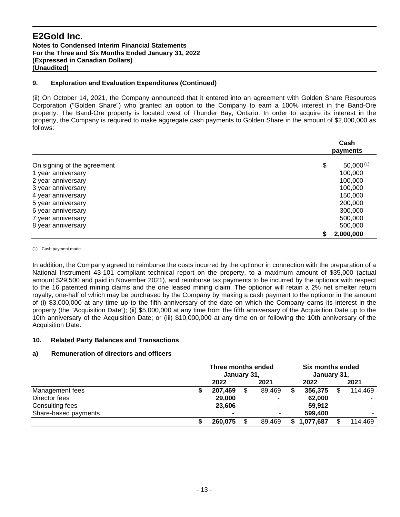**Notes to Condensed Interim Financial Statements For the Three and Six Months Ended January 31, 2022 (Expressed in Canadian Dollars) (Unaudited)**

# **9. Exploration and Evaluation Expenditures (Continued)**

(ii) On October 14, 2021, the Company announced that it entered into an agreement with Golden Share Resources Corporation ("Golden Share") who granted an option to the Company to earn a 100% interest in the Band-Ore property. The Band-Ore property is located west of Thunder Bay, Ontario. In order to acquire its interest in the property, the Company is required to make aggregate cash payments to Golden Share in the amount of \$2,000,000 as follows:

|                             | Cash<br>payments |           |  |  |  |
|-----------------------------|------------------|-----------|--|--|--|
| On signing of the agreement | \$               | 50,000(1) |  |  |  |
| 1 year anniversary          |                  | 100,000   |  |  |  |
| 2 year anniversary          |                  | 100,000   |  |  |  |
| 3 year anniversary          |                  | 100,000   |  |  |  |
| 4 year anniversary          |                  | 150,000   |  |  |  |
| 5 year anniversary          |                  | 200,000   |  |  |  |
| 6 year anniversary          |                  | 300,000   |  |  |  |
| 7 year anniversary          |                  | 500,000   |  |  |  |
| 8 year anniversary          |                  | 500,000   |  |  |  |
|                             |                  | 2,000,000 |  |  |  |

(1) Cash payment made.

In addition, the Company agreed to reimburse the costs incurred by the optionor in connection with the preparation of a National Instrument 43-101 compliant technical report on the property, to a maximum amount of \$35,000 (actual amount \$29,500 and paid in November 2021), and reimburse tax payments to be incurred by the optionor with respect to the 16 patented mining claims and the one leased mining claim. The optionor will retain a 2% net smelter return royalty, one-half of which may be purchased by the Company by making a cash payment to the optionor in the amount of (i) \$3,000,000 at any time up to the fifth anniversary of the date on which the Company earns its interest in the property (the "Acquisition Date"); (ii) \$5,000,000 at any time from the fifth anniversary of the Acquisition Date up to the 10th anniversary of the Acquisition Date; or (iii) \$10,000,000 at any time on or following the 10th anniversary of the Acquisition Date.

## **10. Related Party Balances and Transactions**

## **a) Remuneration of directors and officers**

|                      | Three months ended<br>January 31, |   |        |    | Six months ended<br>January 31, |    |         |  |
|----------------------|-----------------------------------|---|--------|----|---------------------------------|----|---------|--|
|                      | 2022                              |   | 2021   |    | 2022                            |    | 2021    |  |
| Management fees      | 207,469                           | S | 89,469 |    | 356,375                         | \$ | 114,469 |  |
| Director fees        | 29,000                            |   | ۰      |    | 62,000                          |    |         |  |
| Consulting fees      | 23,606                            |   | $\sim$ |    | 59,912                          |    |         |  |
| Share-based payments | $\blacksquare$                    |   | ۰      |    | 599.400                         |    |         |  |
|                      | 260,075                           |   | 89,469 | S. | 1,077,687                       |    | 114,469 |  |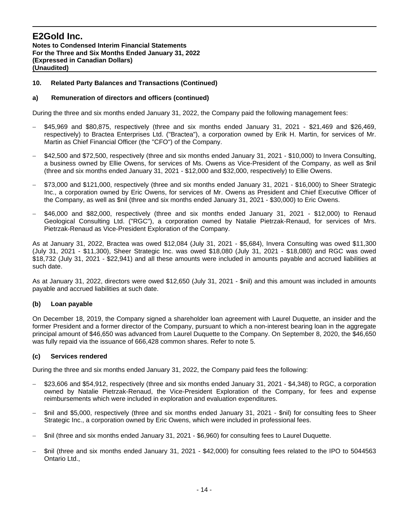**Notes to Condensed Interim Financial Statements For the Three and Six Months Ended January 31, 2022 (Expressed in Canadian Dollars) (Unaudited)**

## **10. Related Party Balances and Transactions (Continued)**

#### **a) Remuneration of directors and officers (continued)**

During the three and six months ended January 31, 2022, the Company paid the following management fees:

- − \$45,969 and \$80,875, respectively (three and six months ended January 31, 2021 \$21,469 and \$26,469, respectively) to Bractea Enterprises Ltd. ("Bractea"), a corporation owned by Erik H. Martin, for services of Mr. Martin as Chief Financial Officer (the "CFO") of the Company.
- − \$42,500 and \$72,500, respectively (three and six months ended January 31, 2021 \$10,000) to Invera Consulting, a business owned by Ellie Owens, for services of Ms. Owens as Vice-President of the Company, as well as \$nil (three and six months ended January 31, 2021 - \$12,000 and \$32,000, respectively) to Ellie Owens.
- − \$73,000 and \$121,000, respectively (three and six months ended January 31, 2021 \$16,000) to Sheer Strategic Inc., a corporation owned by Eric Owens, for services of Mr. Owens as President and Chief Executive Officer of the Company, as well as \$nil (three and six months ended January 31, 2021 - \$30,000) to Eric Owens.
- − \$46,000 and \$82,000, respectively (three and six months ended January 31, 2021 \$12,000) to Renaud Geological Consulting Ltd. ("RGC"), a corporation owned by Natalie Pietrzak-Renaud, for services of Mrs. Pietrzak-Renaud as Vice-President Exploration of the Company.

As at January 31, 2022, Bractea was owed \$12,084 (July 31, 2021 - \$5,684), Invera Consulting was owed \$11,300 (July 31, 2021 - \$11,300), Sheer Strategic Inc. was owed \$18,080 (July 31, 2021 - \$18,080) and RGC was owed \$18,732 (July 31, 2021 - \$22,941) and all these amounts were included in amounts payable and accrued liabilities at such date.

As at January 31, 2022, directors were owed \$12,650 (July 31, 2021 - \$nil) and this amount was included in amounts payable and accrued liabilities at such date.

## **(b) Loan payable**

On December 18, 2019, the Company signed a shareholder loan agreement with Laurel Duquette, an insider and the former President and a former director of the Company, pursuant to which a non-interest bearing loan in the aggregate principal amount of \$46,650 was advanced from Laurel Duquette to the Company. On September 8, 2020, the \$46,650 was fully repaid via the issuance of 666,428 common shares. Refer to note 5.

## **(c) Services rendered**

During the three and six months ended January 31, 2022, the Company paid fees the following:

- − \$23,606 and \$54,912, respectively (three and six months ended January 31, 2021 \$4,348) to RGC, a corporation owned by Natalie Pietrzak-Renaud, the Vice-President Exploration of the Company, for fees and expense reimbursements which were included in exploration and evaluation expenditures.
- − \$nil and \$5,000, respectively (three and six months ended January 31, 2021 \$nil) for consulting fees to Sheer Strategic Inc., a corporation owned by Eric Owens, which were included in professional fees.
- − \$nil (three and six months ended January 31, 2021 \$6,960) for consulting fees to Laurel Duquette.
- − \$nil (three and six months ended January 31, 2021 \$42,000) for consulting fees related to the IPO to 5044563 Ontario Ltd.,